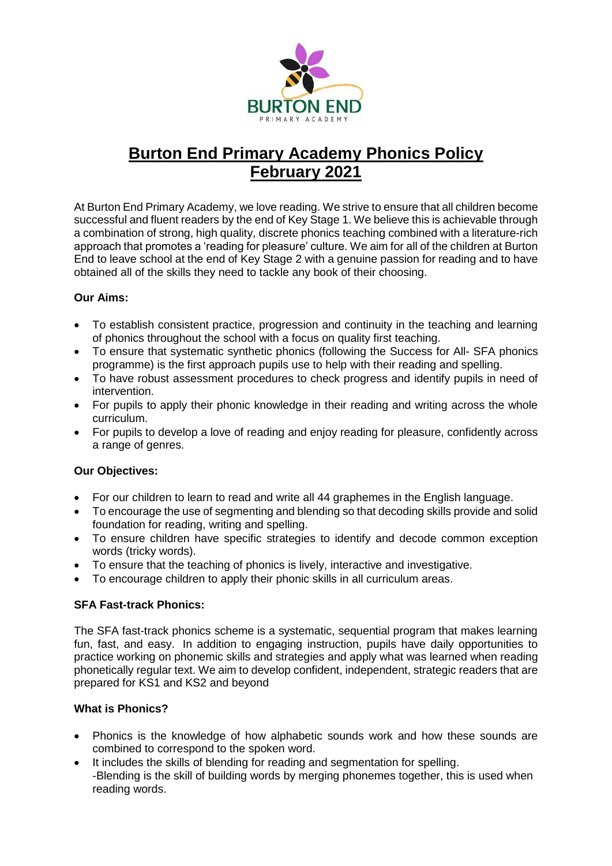

# **Burton End Primary Academy Phonics Policy February 2021**

At Burton End Primary Academy, we love reading. We strive to ensure that all children become successful and fluent readers by the end of Key Stage 1. We believe this is achievable through a combination of strong, high quality, discrete phonics teaching combined with a literature-rich approach that promotes a 'reading for pleasure' culture. We aim for all of the children at Burton End to leave school at the end of Key Stage 2 with a genuine passion for reading and to have obtained all of the skills they need to tackle any book of their choosing.

# **Our Aims:**

- To establish consistent practice, progression and continuity in the teaching and learning of phonics throughout the school with a focus on quality first teaching.
- To ensure that systematic synthetic phonics (following the Success for All- SFA phonics programme) is the first approach pupils use to help with their reading and spelling.
- To have robust assessment procedures to check progress and identify pupils in need of intervention.
- For pupils to apply their phonic knowledge in their reading and writing across the whole curriculum.
- For pupils to develop a love of reading and enjoy reading for pleasure, confidently across a range of genres.

# **Our Objectives:**

- For our children to learn to read and write all 44 graphemes in the English language.
- To encourage the use of segmenting and blending so that decoding skills provide and solid foundation for reading, writing and spelling.
- To ensure children have specific strategies to identify and decode common exception words (tricky words).
- To ensure that the teaching of phonics is lively, interactive and investigative.
- To encourage children to apply their phonic skills in all curriculum areas.

# **SFA Fast-track Phonics:**

The SFA fast-track phonics scheme is a systematic, sequential program that makes learning fun, fast, and easy. In addition to engaging instruction, pupils have daily opportunities to practice working on phonemic skills and strategies and apply what was learned when reading phonetically regular text. We aim to develop confident, independent, strategic readers that are prepared for KS1 and KS2 and beyond

## **What is Phonics?**

- Phonics is the knowledge of how alphabetic sounds work and how these sounds are combined to correspond to the spoken word.
- It includes the skills of blending for reading and segmentation for spelling. -Blending is the skill of building words by merging phonemes together, this is used when reading words.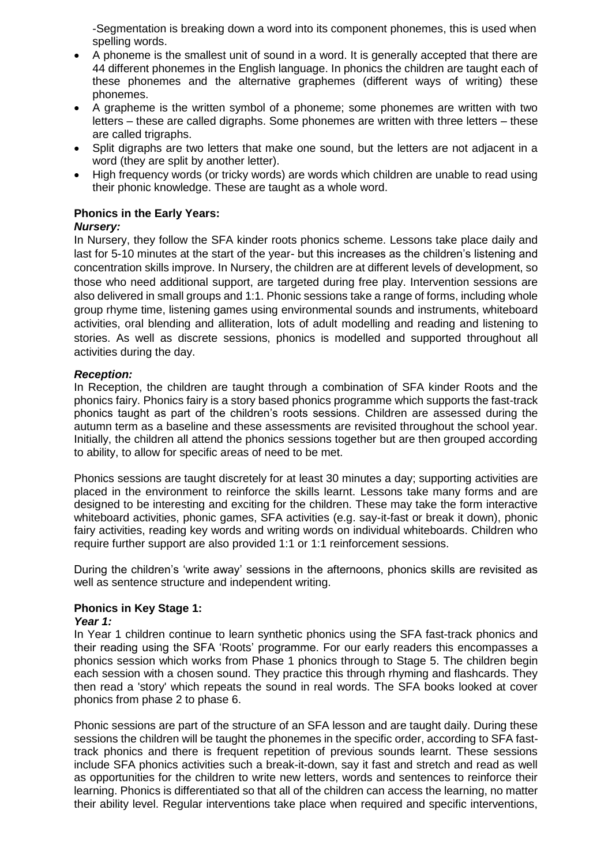-Segmentation is breaking down a word into its component phonemes, this is used when spelling words.

- A phoneme is the smallest unit of sound in a word. It is generally accepted that there are 44 different phonemes in the English language. In phonics the children are taught each of these phonemes and the alternative graphemes (different ways of writing) these phonemes.
- A grapheme is the written symbol of a phoneme; some phonemes are written with two letters – these are called digraphs. Some phonemes are written with three letters – these are called trigraphs.
- Split digraphs are two letters that make one sound, but the letters are not adjacent in a word (they are split by another letter).
- High frequency words (or tricky words) are words which children are unable to read using their phonic knowledge. These are taught as a whole word.

## **Phonics in the Early Years:**

#### *Nursery:*

In Nursery, they follow the SFA kinder roots phonics scheme. Lessons take place daily and last for 5-10 minutes at the start of the year- but this increases as the children's listening and concentration skills improve. In Nursery, the children are at different levels of development, so those who need additional support, are targeted during free play. Intervention sessions are also delivered in small groups and 1:1. Phonic sessions take a range of forms, including whole group rhyme time, listening games using environmental sounds and instruments, whiteboard activities, oral blending and alliteration, lots of adult modelling and reading and listening to stories. As well as discrete sessions, phonics is modelled and supported throughout all activities during the day.

#### *Reception:*

In Reception, the children are taught through a combination of SFA kinder Roots and the phonics fairy. Phonics fairy is a story based phonics programme which supports the fast-track phonics taught as part of the children's roots sessions. Children are assessed during the autumn term as a baseline and these assessments are revisited throughout the school year. Initially, the children all attend the phonics sessions together but are then grouped according to ability, to allow for specific areas of need to be met.

Phonics sessions are taught discretely for at least 30 minutes a day; supporting activities are placed in the environment to reinforce the skills learnt. Lessons take many forms and are designed to be interesting and exciting for the children. These may take the form interactive whiteboard activities, phonic games, SFA activities (e.g. say-it-fast or break it down), phonic fairy activities, reading key words and writing words on individual whiteboards. Children who require further support are also provided 1:1 or 1:1 reinforcement sessions.

During the children's 'write away' sessions in the afternoons, phonics skills are revisited as well as sentence structure and independent writing.

### **Phonics in Key Stage 1:**

#### *Year 1:*

In Year 1 children continue to learn synthetic phonics using the SFA fast-track phonics and their reading using the SFA 'Roots' programme. For our early readers this encompasses a phonics session which works from Phase 1 phonics through to Stage 5. The children begin each session with a chosen sound. They practice this through rhyming and flashcards. They then read a 'story' which repeats the sound in real words. The SFA books looked at cover phonics from phase 2 to phase 6.

Phonic sessions are part of the structure of an SFA lesson and are taught daily. During these sessions the children will be taught the phonemes in the specific order, according to SFA fasttrack phonics and there is frequent repetition of previous sounds learnt. These sessions include SFA phonics activities such a break-it-down, say it fast and stretch and read as well as opportunities for the children to write new letters, words and sentences to reinforce their learning. Phonics is differentiated so that all of the children can access the learning, no matter their ability level. Regular interventions take place when required and specific interventions,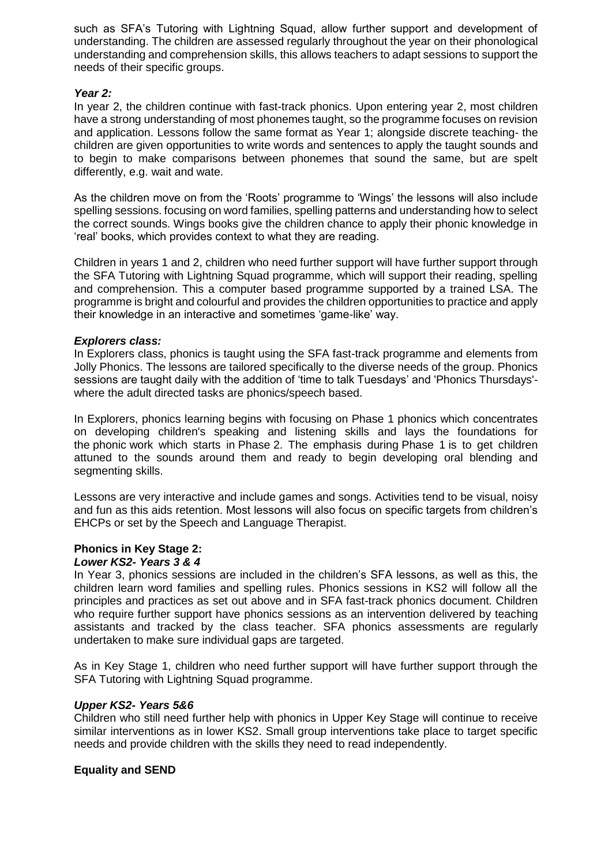such as SFA's Tutoring with Lightning Squad, allow further support and development of understanding. The children are assessed regularly throughout the year on their phonological understanding and comprehension skills, this allows teachers to adapt sessions to support the needs of their specific groups.

#### *Year 2:*

In year 2, the children continue with fast-track phonics. Upon entering year 2, most children have a strong understanding of most phonemes taught, so the programme focuses on revision and application. Lessons follow the same format as Year 1; alongside discrete teaching- the children are given opportunities to write words and sentences to apply the taught sounds and to begin to make comparisons between phonemes that sound the same, but are spelt differently, e.g. wait and wate.

As the children move on from the 'Roots' programme to 'Wings' the lessons will also include spelling sessions. focusing on word families, spelling patterns and understanding how to select the correct sounds. Wings books give the children chance to apply their phonic knowledge in 'real' books, which provides context to what they are reading.

Children in years 1 and 2, children who need further support will have further support through the SFA Tutoring with Lightning Squad programme, which will support their reading, spelling and comprehension. This a computer based programme supported by a trained LSA. The programme is bright and colourful and provides the children opportunities to practice and apply their knowledge in an interactive and sometimes 'game-like' way.

### *Explorers class:*

In Explorers class, phonics is taught using the SFA fast-track programme and elements from Jolly Phonics. The lessons are tailored specifically to the diverse needs of the group. Phonics sessions are taught daily with the addition of 'time to talk Tuesdays' and 'Phonics Thursdays' where the adult directed tasks are phonics/speech based.

In Explorers, phonics learning begins with focusing on Phase 1 phonics which concentrates on developing children's speaking and listening skills and lays the foundations for the phonic work which starts in Phase 2. The emphasis during Phase 1 is to get children attuned to the sounds around them and ready to begin developing oral blending and segmenting skills.

Lessons are very interactive and include games and songs. Activities tend to be visual, noisy and fun as this aids retention. Most lessons will also focus on specific targets from children's EHCPs or set by the Speech and Language Therapist.

#### **Phonics in Key Stage 2:** *Lower KS2- Years 3 & 4*

In Year 3, phonics sessions are included in the children's SFA lessons, as well as this, the children learn word families and spelling rules. Phonics sessions in KS2 will follow all the principles and practices as set out above and in SFA fast-track phonics document. Children who require further support have phonics sessions as an intervention delivered by teaching assistants and tracked by the class teacher. SFA phonics assessments are regularly undertaken to make sure individual gaps are targeted.

As in Key Stage 1, children who need further support will have further support through the SFA Tutoring with Lightning Squad programme.

### *Upper KS2- Years 5&6*

Children who still need further help with phonics in Upper Key Stage will continue to receive similar interventions as in lower KS2. Small group interventions take place to target specific needs and provide children with the skills they need to read independently.

### **Equality and SEND**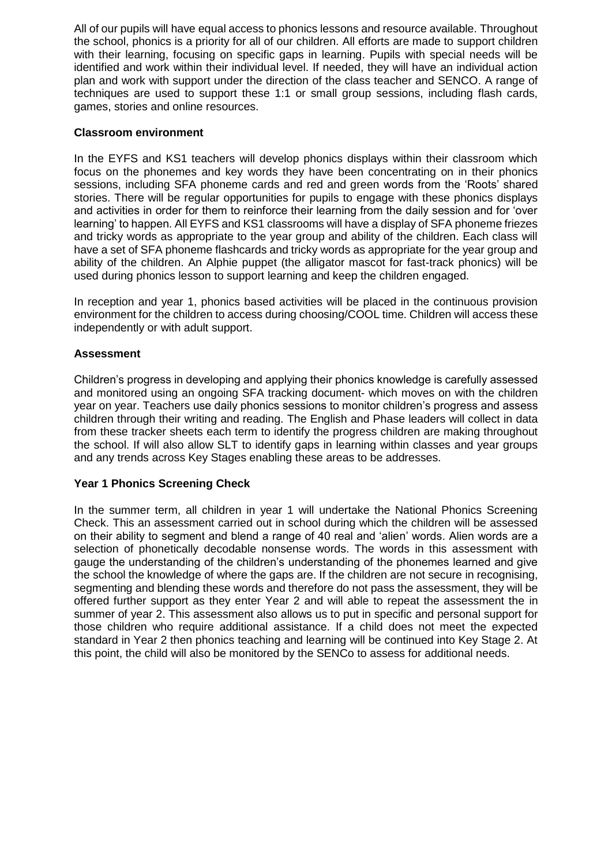All of our pupils will have equal access to phonics lessons and resource available. Throughout the school, phonics is a priority for all of our children. All efforts are made to support children with their learning, focusing on specific gaps in learning. Pupils with special needs will be identified and work within their individual level. If needed, they will have an individual action plan and work with support under the direction of the class teacher and SENCO. A range of techniques are used to support these 1:1 or small group sessions, including flash cards, games, stories and online resources.

## **Classroom environment**

In the EYFS and KS1 teachers will develop phonics displays within their classroom which focus on the phonemes and key words they have been concentrating on in their phonics sessions, including SFA phoneme cards and red and green words from the 'Roots' shared stories. There will be regular opportunities for pupils to engage with these phonics displays and activities in order for them to reinforce their learning from the daily session and for 'over learning' to happen. All EYFS and KS1 classrooms will have a display of SFA phoneme friezes and tricky words as appropriate to the year group and ability of the children. Each class will have a set of SFA phoneme flashcards and tricky words as appropriate for the year group and ability of the children. An Alphie puppet (the alligator mascot for fast-track phonics) will be used during phonics lesson to support learning and keep the children engaged.

In reception and year 1, phonics based activities will be placed in the continuous provision environment for the children to access during choosing/COOL time. Children will access these independently or with adult support.

## **Assessment**

Children's progress in developing and applying their phonics knowledge is carefully assessed and monitored using an ongoing SFA tracking document- which moves on with the children year on year. Teachers use daily phonics sessions to monitor children's progress and assess children through their writing and reading. The English and Phase leaders will collect in data from these tracker sheets each term to identify the progress children are making throughout the school. If will also allow SLT to identify gaps in learning within classes and year groups and any trends across Key Stages enabling these areas to be addresses.

### **Year 1 Phonics Screening Check**

In the summer term, all children in year 1 will undertake the National Phonics Screening Check. This an assessment carried out in school during which the children will be assessed on their ability to segment and blend a range of 40 real and 'alien' words. Alien words are a selection of phonetically decodable nonsense words. The words in this assessment with gauge the understanding of the children's understanding of the phonemes learned and give the school the knowledge of where the gaps are. If the children are not secure in recognising, segmenting and blending these words and therefore do not pass the assessment, they will be offered further support as they enter Year 2 and will able to repeat the assessment the in summer of year 2. This assessment also allows us to put in specific and personal support for those children who require additional assistance. If a child does not meet the expected standard in Year 2 then phonics teaching and learning will be continued into Key Stage 2. At this point, the child will also be monitored by the SENCo to assess for additional needs.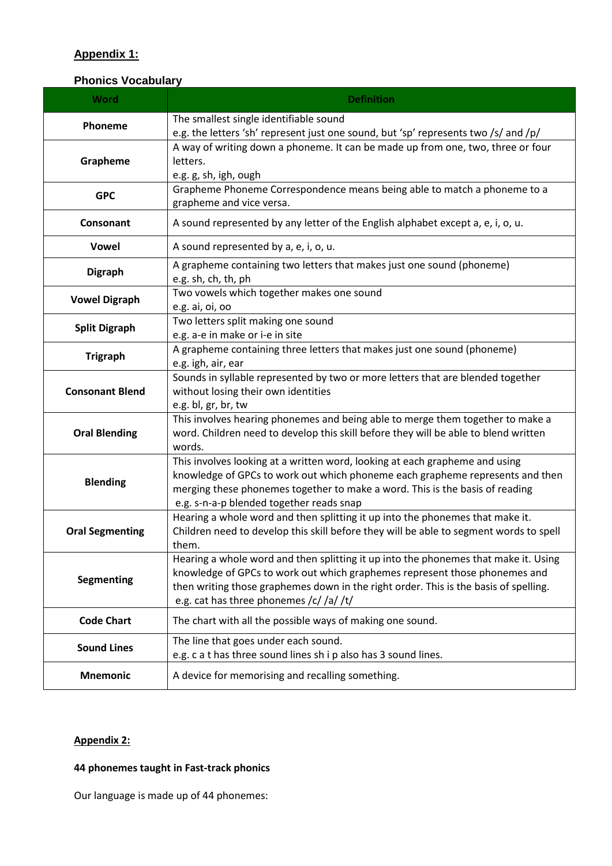# **Appendix 1:**

# **Phonics Vocabulary**

| <b>Word</b>            | <b>Definition</b>                                                                                                                                                                                                                                                                                  |  |  |
|------------------------|----------------------------------------------------------------------------------------------------------------------------------------------------------------------------------------------------------------------------------------------------------------------------------------------------|--|--|
| Phoneme                | The smallest single identifiable sound<br>e.g. the letters 'sh' represent just one sound, but 'sp' represents two /s/ and /p/                                                                                                                                                                      |  |  |
| Grapheme               | A way of writing down a phoneme. It can be made up from one, two, three or four<br>letters.<br>e.g. g, sh, igh, ough                                                                                                                                                                               |  |  |
| <b>GPC</b>             | Grapheme Phoneme Correspondence means being able to match a phoneme to a<br>grapheme and vice versa.                                                                                                                                                                                               |  |  |
| Consonant              | A sound represented by any letter of the English alphabet except a, e, i, o, u.                                                                                                                                                                                                                    |  |  |
| <b>Vowel</b>           | A sound represented by a, e, i, o, u.                                                                                                                                                                                                                                                              |  |  |
| <b>Digraph</b>         | A grapheme containing two letters that makes just one sound (phoneme)<br>e.g. sh, ch, th, ph                                                                                                                                                                                                       |  |  |
| <b>Vowel Digraph</b>   | Two vowels which together makes one sound<br>e.g. ai, oi, oo                                                                                                                                                                                                                                       |  |  |
| <b>Split Digraph</b>   | Two letters split making one sound<br>e.g. a-e in make or i-e in site                                                                                                                                                                                                                              |  |  |
| <b>Trigraph</b>        | A grapheme containing three letters that makes just one sound (phoneme)<br>e.g. igh, air, ear                                                                                                                                                                                                      |  |  |
| <b>Consonant Blend</b> | Sounds in syllable represented by two or more letters that are blended together<br>without losing their own identities<br>e.g. bl, gr, br, tw                                                                                                                                                      |  |  |
| <b>Oral Blending</b>   | This involves hearing phonemes and being able to merge them together to make a<br>word. Children need to develop this skill before they will be able to blend written<br>words.                                                                                                                    |  |  |
| <b>Blending</b>        | This involves looking at a written word, looking at each grapheme and using<br>knowledge of GPCs to work out which phoneme each grapheme represents and then<br>merging these phonemes together to make a word. This is the basis of reading<br>e.g. s-n-a-p blended together reads snap           |  |  |
| <b>Oral Segmenting</b> | Hearing a whole word and then splitting it up into the phonemes that make it.<br>Children need to develop this skill before they will be able to segment words to spell<br>them.                                                                                                                   |  |  |
| Segmenting             | Hearing a whole word and then splitting it up into the phonemes that make it. Using<br>knowledge of GPCs to work out which graphemes represent those phonemes and<br>then writing those graphemes down in the right order. This is the basis of spelling.<br>e.g. cat has three phonemes /c//a//t/ |  |  |
| <b>Code Chart</b>      | The chart with all the possible ways of making one sound.                                                                                                                                                                                                                                          |  |  |
| <b>Sound Lines</b>     | The line that goes under each sound.<br>e.g. c a t has three sound lines sh i p also has 3 sound lines.                                                                                                                                                                                            |  |  |
| <b>Mnemonic</b>        | A device for memorising and recalling something.                                                                                                                                                                                                                                                   |  |  |

# **Appendix 2:**

# **44 phonemes taught in Fast-track phonics**

Our language is made up of 44 phonemes: